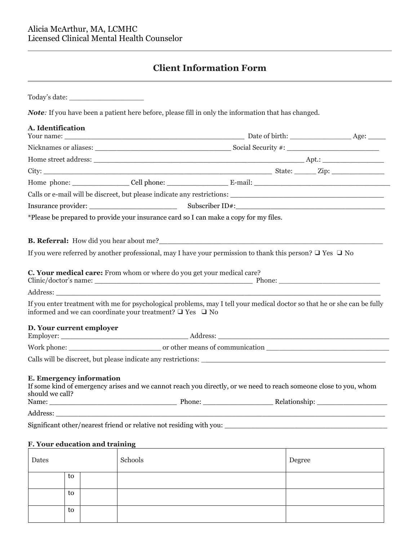to

# **Client Information Form**

|                                             |                                                                                       | <b>Note:</b> If you have been a patient here before, please fill in only the information that has changed.               |  |
|---------------------------------------------|---------------------------------------------------------------------------------------|--------------------------------------------------------------------------------------------------------------------------|--|
| A. Identification                           |                                                                                       |                                                                                                                          |  |
|                                             |                                                                                       |                                                                                                                          |  |
|                                             |                                                                                       |                                                                                                                          |  |
|                                             |                                                                                       |                                                                                                                          |  |
|                                             |                                                                                       |                                                                                                                          |  |
|                                             |                                                                                       | Calls or e-mail will be discreet, but please indicate any restrictions:                                                  |  |
|                                             |                                                                                       |                                                                                                                          |  |
|                                             | *Please be prepared to provide your insurance card so I can make a copy for my files. |                                                                                                                          |  |
|                                             |                                                                                       |                                                                                                                          |  |
|                                             |                                                                                       | If you were referred by another professional, may I have your permission to thank this person? $\Box$ Yes $\Box$ No      |  |
| D. Your current employer                    | informed and we can coordinate your treatment? $\Box$ Yes $\Box$ No                   | If you enter treatment with me for psychological problems, may I tell your medical doctor so that he or she can be fully |  |
|                                             |                                                                                       |                                                                                                                          |  |
|                                             |                                                                                       |                                                                                                                          |  |
| E. Emergency information<br>should we call? |                                                                                       | If some kind of emergency arises and we cannot reach you directly, or we need to reach someone close to you, whom        |  |
|                                             |                                                                                       |                                                                                                                          |  |
|                                             |                                                                                       | Significant other/nearest friend or relative not residing with you:                                                      |  |
| F. Your education and training              |                                                                                       |                                                                                                                          |  |
| Dates                                       | Schools                                                                               | Degree                                                                                                                   |  |
| to                                          |                                                                                       |                                                                                                                          |  |
| to                                          |                                                                                       |                                                                                                                          |  |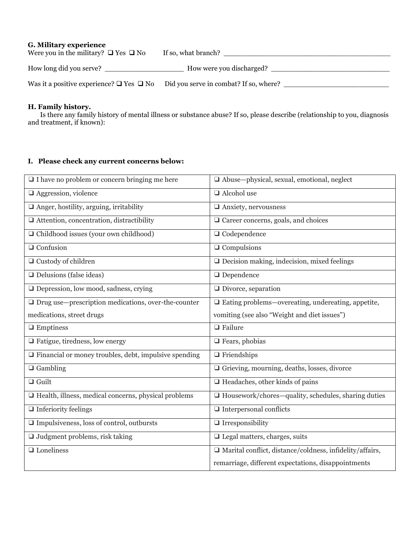## **G. Military experience**

| Were you in the military? $\Box$ Yes $\Box$ No     | If so, what branch?                    |
|----------------------------------------------------|----------------------------------------|
| How long did you serve?                            | How were you discharged?               |
| Was it a positive experience? $\Box$ Yes $\Box$ No | Did you serve in combat? If so, where? |

#### **H. Family history.**

Is there any family history of mental illness or substance abuse? If so, please describe (relationship to you, diagnosis and treatment, if known):

## **I. Please check any current concerns below:**

| $\Box$ I have no problem or concern bringing me here                | $\Box$ Abuse—physical, sexual, emotional, neglect               |
|---------------------------------------------------------------------|-----------------------------------------------------------------|
| $\Box$ Aggression, violence                                         | $\Box$ Alcohol use                                              |
| $\Box$ Anger, hostility, arguing, irritability                      | $\Box$ Anxiety, nervousness                                     |
| $\Box$ Attention, concentration, distractibility                    | $\Box$ Career concerns, goals, and choices                      |
| $\Box$ Childhood issues (your own childhood)                        | $\Box$ Codependence                                             |
| $\Box$ Confusion                                                    | $\Box$ Compulsions                                              |
| $\Box$ Custody of children                                          | $\Box$ Decision making, indecision, mixed feelings              |
| $\Box$ Delusions (false ideas)                                      | $\Box$ Dependence                                               |
| $\Box$ Depression, low mood, sadness, crying                        | $\Box$ Divorce, separation                                      |
| $\hfill\Box$<br>Drug use—prescription medications, over-the-counter | $\Box$ Eating problems—overeating, undereating, appetite,       |
| medications, street drugs                                           | vomiting (see also "Weight and diet issues")                    |
| $\Box$ Emptiness                                                    | $\Box$ Failure                                                  |
| $\Box$ Fatigue, tiredness, low energy                               | $\Box$ Fears, phobias                                           |
| $\Box$ Financial or money troubles, debt, impulsive spending        | $\Box$ Friendships                                              |
| $\Box$ Gambling                                                     | □ Grieving, mourning, deaths, losses, divorce                   |
| $\Box$ Guilt                                                        | $\Box$ Headaches, other kinds of pains                          |
| $\Box$ Health, illness, medical concerns, physical problems         | $\Box$ Housework/chores—quality, schedules, sharing duties      |
| $\Box$ Inferiority feelings                                         | $\Box$ Interpersonal conflicts                                  |
| $\Box$ Impulsiveness, loss of control, outbursts                    | $\Box$ Irresponsibility                                         |
| $\Box$ Judgment problems, risk taking                               | $\Box$ Legal matters, charges, suits                            |
| $\Box$ Loneliness                                                   | $\Box$ Marital conflict, distance/coldness, infidelity/affairs, |
|                                                                     | remarriage, different expectations, disappointments             |